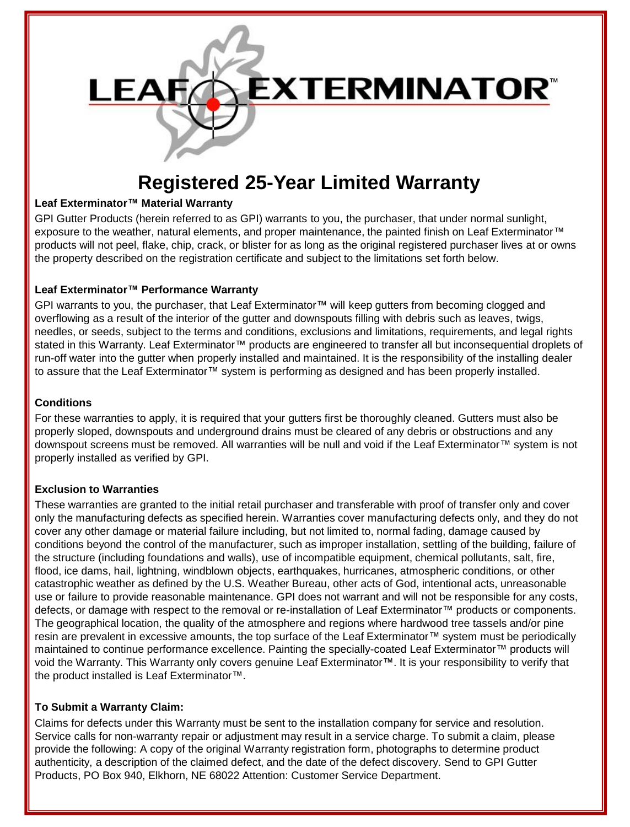

# **Registered 25-Year Limited Warranty**

# **Leaf Exterminator™ Material Warranty**

GPI Gutter Products (herein referred to as GPI) warrants to you, the purchaser, that under normal sunlight, exposure to the weather, natural elements, and proper maintenance, the painted finish on Leaf Exterminator™ products will not peel, flake, chip, crack, or blister for as long as the original registered purchaser lives at or owns the property described on the registration certificate and subject to the limitations set forth below.

# **Leaf Exterminator™ Performance Warranty**

GPI warrants to you, the purchaser, that Leaf Exterminator™ will keep gutters from becoming clogged and overflowing as a result of the interior of the gutter and downspouts filling with debris such as leaves, twigs, needles, or seeds, subject to the terms and conditions, exclusions and limitations, requirements, and legal rights stated in this Warranty. Leaf Exterminator™ products are engineered to transfer all but inconsequential droplets of run-off water into the gutter when properly installed and maintained. It is the responsibility of the installing dealer to assure that the Leaf Exterminator™ system is performing as designed and has been properly installed.

#### **Conditions**

For these warranties to apply, it is required that your gutters first be thoroughly cleaned. Gutters must also be properly sloped, downspouts and underground drains must be cleared of any debris or obstructions and any downspout screens must be removed. All warranties will be null and void if the Leaf Exterminator™ system is not properly installed as verified by GPI.

# **Exclusion to Warranties**

These warranties are granted to the initial retail purchaser and transferable with proof of transfer only and cover only the manufacturing defects as specified herein. Warranties cover manufacturing defects only, and they do not cover any other damage or material failure including, but not limited to, normal fading, damage caused by conditions beyond the control of the manufacturer, such as improper installation, settling of the building, failure of the structure (including foundations and walls), use of incompatible equipment, chemical pollutants, salt, fire, flood, ice dams, hail, lightning, windblown objects, earthquakes, hurricanes, atmospheric conditions, or other catastrophic weather as defined by the U.S. Weather Bureau, other acts of God, intentional acts, unreasonable use or failure to provide reasonable maintenance. GPI does not warrant and will not be responsible for any costs, defects, or damage with respect to the removal or re-installation of Leaf Exterminator™ products or components. The geographical location, the quality of the atmosphere and regions where hardwood tree tassels and/or pine resin are prevalent in excessive amounts, the top surface of the Leaf Exterminator™ system must be periodically maintained to continue performance excellence. Painting the specially-coated Leaf Exterminator™ products will void the Warranty. This Warranty only covers genuine Leaf Exterminator™. It is your responsibility to verify that the product installed is Leaf Exterminator™.

# **To Submit a Warranty Claim:**

Claims for defects under this Warranty must be sent to the installation company for service and resolution. Service calls for non-warranty repair or adjustment may result in a service charge. To submit a claim, please provide the following: A copy of the original Warranty registration form, photographs to determine product authenticity, a description of the claimed defect, and the date of the defect discovery. Send to GPI Gutter Products, PO Box 940, Elkhorn, NE 68022 Attention: Customer Service Department.